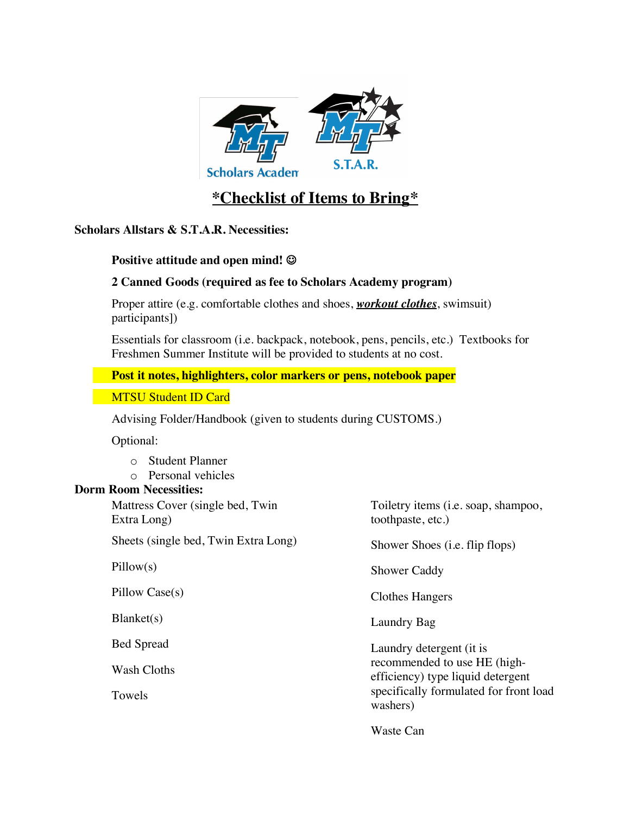

# **\*Checklist of Items to Bring\***

**Scholars Allstars & S.T.A.R. Necessities:**

### **Positive attitude and open mind! ©**

### **2 Canned Goods (required as fee to Scholars Academy program)**

 Proper attire (e.g. comfortable clothes and shoes, *workout clothes*, swimsuit) participants])

 Essentials for classroom (i.e. backpack, notebook, pens, pencils, etc.) Textbooks for Freshmen Summer Institute will be provided to students at no cost.

#### **Post it notes, highlighters, color markers or pens, notebook paper**

MTSU Student ID Card

Advising Folder/Handbook (given to students during CUSTOMS.)

Optional:

- o Student Planner
- o Personal vehicles

#### **Dorm Room Necessities:**

 Mattress Cover (single bed, Twin Extra Long) Sheets (single bed, Twin Extra Long) Pillow(s) Pillow Case(s) Blanket(s) Bed Spread Wash Cloths Towels Toiletry items (i.e. soap, shampoo, toothpaste, etc.) Shower Shoes (i.e. flip flops) Shower Caddy Clothes Hangers Laundry Bag Laundry detergent (it is recommended to use HE (highefficiency) type liquid detergent specifically formulated for front load washers) Waste Can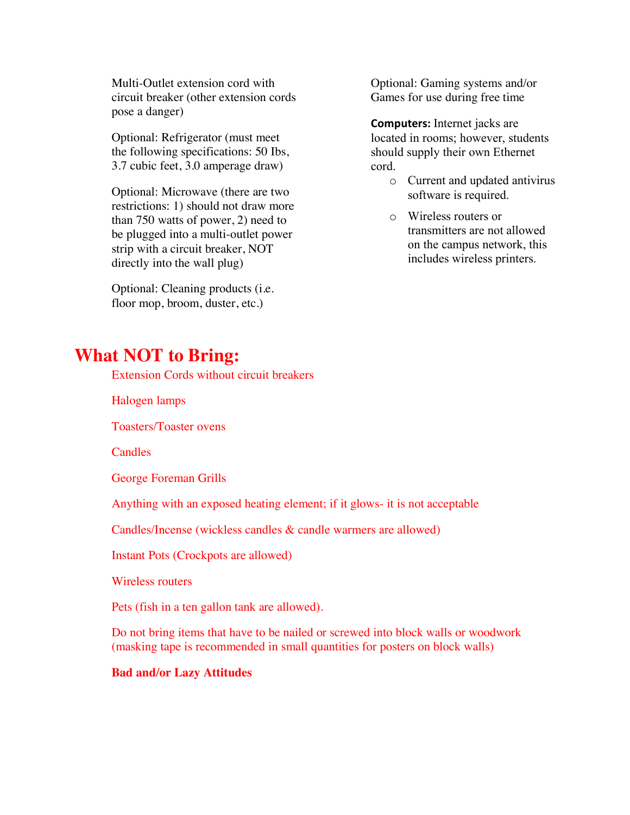Multi-Outlet extension cord with circuit breaker (other extension cords pose a danger)

 Optional: Refrigerator (must meet the following specifications: 50 Ibs, 3.7 cubic feet, 3.0 amperage draw)

 Optional: Microwave (there are two restrictions: 1) should not draw more than 750 watts of power, 2) need to be plugged into a multi-outlet power strip with a circuit breaker, NOT directly into the wall plug)

 Optional: Cleaning products (i.e. floor mop, broom, duster, etc.)

 Optional: Gaming systems and/or Games for use during free time

 **Computers:** Internet jacks are located in rooms; however, students should supply their own Ethernet cord.

- o Current and updated antivirus software is required.
- o Wireless routers or transmitters are not allowed on the campus network, this includes wireless printers.

## **What NOT to Bring:**

Extension Cords without circuit breakers

Halogen lamps

Toasters/Toaster ovens

**Candles** 

George Foreman Grills

Anything with an exposed heating element; if it glows- it is not acceptable

Candles/Incense (wickless candles & candle warmers are allowed)

Instant Pots (Crockpots are allowed)

Wireless routers

Pets (fish in a ten gallon tank are allowed).

 Do not bring items that have to be nailed or screwed into block walls or woodwork (masking tape is recommended in small quantities for posters on block walls)

#### **Bad and/or Lazy Attitudes**